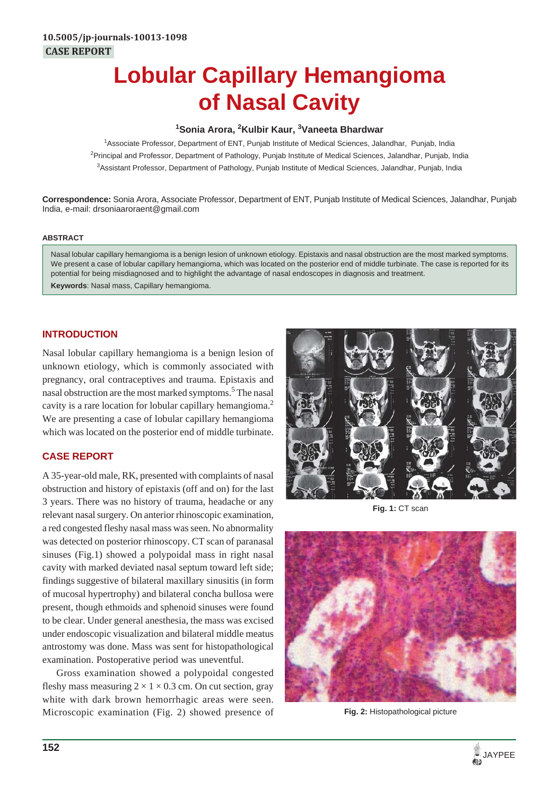# **Lobular Capillary Hemangioma of Nasal Cavity**

## **1 Sonia Arora, 2 Kulbir Kaur, 3 Vaneeta Bhardwar**

1 Associate Professor, Department of ENT, Punjab Institute of Medical Sciences, Jalandhar, Punjab, India <sup>2</sup>Principal and Professor, Department of Pathology, Punjab Institute of Medical Sciences, Jalandhar, Punjab, India 3 Assistant Professor, Department of Pathology, Punjab Institute of Medical Sciences, Jalandhar, Punjab, India

**Correspondence:** Sonia Arora, Associate Professor, Department of ENT, Punjab Institute of Medical Sciences, Jalandhar, Punjab India, e-mail: drsoniaaroraent@gmail.com

#### **ABSTRACT**

Nasal lobular capillary hemangioma is a benign lesion of unknown etiology. Epistaxis and nasal obstruction are the most marked symptoms. We present a case of lobular capillary hemangioma, which was located on the posterior end of middle turbinate. The case is reported for its potential for being misdiagnosed and to highlight the advantage of nasal endoscopes in diagnosis and treatment. **Keywords**: Nasal mass, Capillary hemangioma.

# **INTRODUCTION**

Nasal lobular capillary hemangioma is a benign lesion of unknown etiology, which is commonly associated with pregnancy, oral contraceptives and trauma. Epistaxis and nasal obstruction are the most marked symptoms.<sup>5</sup> The nasal cavity is a rare location for lobular capillary hemangioma.<sup>2</sup> We are presenting a case of lobular capillary hemangioma which was located on the posterior end of middle turbinate.

# **CASE REPORT**

A 35-year-old male, RK, presented with complaints of nasal obstruction and history of epistaxis (off and on) for the last 3 years. There was no history of trauma, headache or any relevant nasal surgery. On anterior rhinoscopic examination, a red congested fleshy nasal mass was seen. No abnormality was detected on posterior rhinoscopy. CT scan of paranasal sinuses (Fig.1) showed a polypoidal mass in right nasal cavity with marked deviated nasal septum toward left side; findings suggestive of bilateral maxillary sinusitis (in form of mucosal hypertrophy) and bilateral concha bullosa were present, though ethmoids and sphenoid sinuses were found to be clear. Under general anesthesia, the mass was excised under endoscopic visualization and bilateral middle meatus antrostomy was done. Mass was sent for histopathological examination. Postoperative period was uneventful.

Gross examination showed a polypoidal congested fleshy mass measuring  $2 \times 1 \times 0.3$  cm. On cut section, gray white with dark brown hemorrhagic areas were seen. Microscopic examination (Fig. 2) showed presence of



**Fig. 1:** CT scan



**Fig. 2:** Histopathological picture